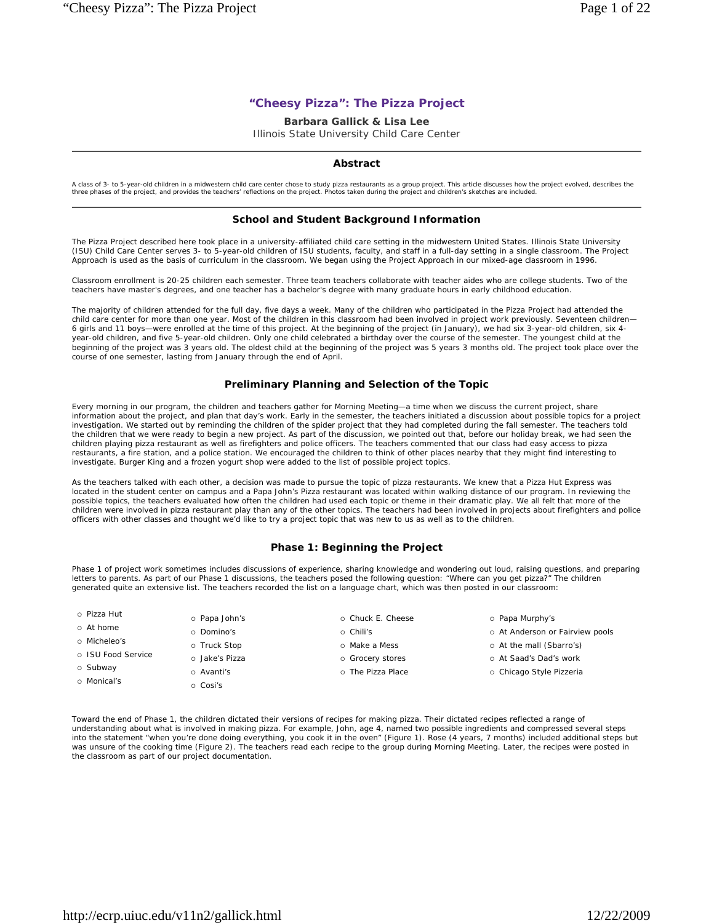# **"Cheesy Pizza": The Pizza Project**

## **Barbara Gallick & Lisa Lee**

Illinois State University Child Care Center

# **Abstract**

A class of 3- to 5-year-old children in a midwestern child care center chose to study pizza restaurants as a group project. This article discusses how the project evolved, describes the<br>three phases of the project, and pro

## **School and Student Background Information**

The Pizza Project described here took place in a university-affiliated child care setting in the midwestern United States. Illinois State University (ISU) Child Care Center serves 3- to 5-year-old children of ISU students, faculty, and staff in a full-day setting in a single classroom. The Project Approach is used as the basis of curriculum in the classroom. We began using the Project Approach in our mixed-age classroom in 1996.

Classroom enrollment is 20-25 children each semester. Three team teachers collaborate with teacher aides who are college students. Two of the teachers have master's degrees, and one teacher has a bachelor's degree with many graduate hours in early childhood education.

The majority of children attended for the full day, five days a week. Many of the children who participated in the Pizza Project had attended the child care center for more than one year. Most of the children in this classroom had been involved in project work previously. Seventeen children— 6 girls and 11 boys—were enrolled at the time of this project. At the beginning of the project (in January), we had six 3-year-old children, six 4 year-old children, and five 5-year-old children. Only one child celebrated a birthday over the course of the semester. The youngest child at the beginning of the project was 3 years old. The oldest child at the beginning of the project was 5 years 3 months old. The project took place over the course of one semester, lasting from January through the end of April.

# **Preliminary Planning and Selection of the Topic**

Every morning in our program, the children and teachers gather for Morning Meeting—a time when we discuss the current project, share information about the project, and plan that day's work. Early in the semester, the teachers initiated a discussion about possible topics for a project investigation. We started out by reminding the children of the spider project that they had completed during the fall semester. The teachers told the children that we were ready to begin a new project. As part of the discussion, we pointed out that, before our holiday break, we had seen the children playing pizza restaurant as well as firefighters and police officers. The teachers commented that our class had easy access to pizza restaurants, a fire station, and a police station. We encouraged the children to think of other places nearby that they might find interesting to investigate. Burger King and a frozen yogurt shop were added to the list of possible project topics.

As the teachers talked with each other, a decision was made to pursue the topic of pizza restaurants. We knew that a Pizza Hut Express was located in the student center on campus and a Papa John's Pizza restaurant was located within walking distance of our program. In reviewing the possible topics, the teachers evaluated how often the children had used each topic or theme in their dramatic play. We all felt that more of the children were involved in pizza restaurant play than any of the other topics. The teachers had been involved in projects about firefighters and police officers with other classes and thought we'd like to try a project topic that was new to us as well as to the children.

## **Phase 1: Beginning the Project**

Phase 1 of project work sometimes includes discussions of experience, sharing knowledge and wondering out loud, raising questions, and preparing letters to parents. As part of our Phase 1 discussions, the teachers posed the following question: "Where can you get pizza?" The children generated quite an extensive list. The teachers recorded the list on a language chart, which was then posted in our classroom:

| o Pizza Hut        | o Papa John's  | o Chuck E. Cheese | o Papa Murphy's                 |
|--------------------|----------------|-------------------|---------------------------------|
| o At home          | o Domino's     | o Chili's         | o At Anderson or Fairview pools |
| o Micheleo's       | o Truck Stop   | o Make a Mess     | o At the mall (Sbarro's)        |
| o ISU Food Service | o Jake's Pizza | o Grocery stores  | o At Saad's Dad's work          |
| o Subway           | o Avanti's     | o The Pizza Place | o Chicago Style Pizzeria        |
| o Monical's        | o Cosi's       |                   |                                 |

Toward the end of Phase 1, the children dictated their versions of recipes for making pizza. Their dictated recipes reflected a range of understanding about what is involved in making pizza. For example, John, age 4, named two possible ingredients and compressed several steps into the statement "when you're done doing everything, you cook it in the oven" (Figure 1). Rose (4 years, 7 months) included additional steps but was unsure of the cooking time (Figure 2). The teachers read each recipe to the group during Morning Meeting. Later, the recipes were posted in the classroom as part of our project documentation.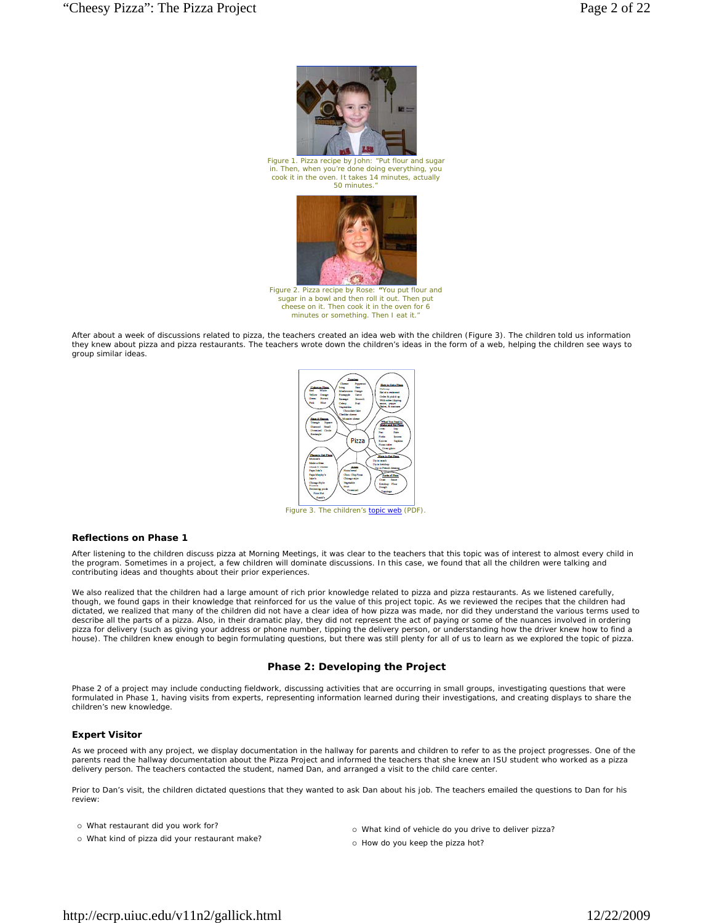

*Figure 1. Pizza recipe by John: "Put flour and sugar in. Then, when you're done doing everything, you cook it in the oven. It takes 14 minutes, actually 50 minutes."*



*Figure 2. Pizza recipe by Rose: "You put flour and sugar in a bowl and then roll it out. Then put cheese on it. Then cook it in the oven for 6 minutes or something. Then I eat it."*

After about a week of discussions related to pizza, the teachers created an idea web with the children (Figure 3). The children told us information they knew about pizza and pizza restaurants. The teachers wrote down the children's ideas in the form of a web, helping the children see ways to group similar ideas.



#### **Reflections on Phase 1**

After listening to the children discuss pizza at Morning Meetings, it was clear to the teachers that this topic was of interest to almost every child in the program. Sometimes in a project, a few children will dominate discussions. In this case, we found that all the children were talking and contributing ideas and thoughts about their prior experiences.

We also realized that the children had a large amount of rich prior knowledge related to pizza and pizza restaurants. As we listened carefully, though, we found gaps in their knowledge that reinforced for us the value of this project topic. As we reviewed the recipes that the children had dictated, we realized that many of the children did not have a clear idea of how pizza was made, nor did they understand the various terms used to describe all the parts of a pizza. Also, in their dramatic play, they did not represent the act of paying or some of the nuances involved in ordering pizza for delivery (such as giving your address or phone number, tipping the delivery person, or understanding how the driver knew how to find a house). The children knew enough to begin formulating questions, but there was still plenty for all of us to learn as we explored the topic of pizza.

## **Phase 2: Developing the Project**

Phase 2 of a project may include conducting fieldwork, discussing activities that are occurring in small groups, investigating questions that were formulated in Phase 1, having visits from experts, representing information learned during their investigations, and creating displays to share the children's new knowledge.

#### **Expert Visitor**

As we proceed with any project, we display documentation in the hallway for parents and children to refer to as the project progresses. One of the parents read the hallway documentation about the Pizza Project and informed the teachers that she knew an ISU student who worked as a pizza delivery person. The teachers contacted the student, named Dan, and arranged a visit to the child care center.

Prior to Dan's visit, the children dictated questions that they wanted to ask Dan about his job. The teachers emailed the questions to Dan for his review:

What restaurant did you work for?

- What kind of pizza did your restaurant make?
- What kind of vehicle do you drive to deliver pizza?
- o How do you keep the pizza hot?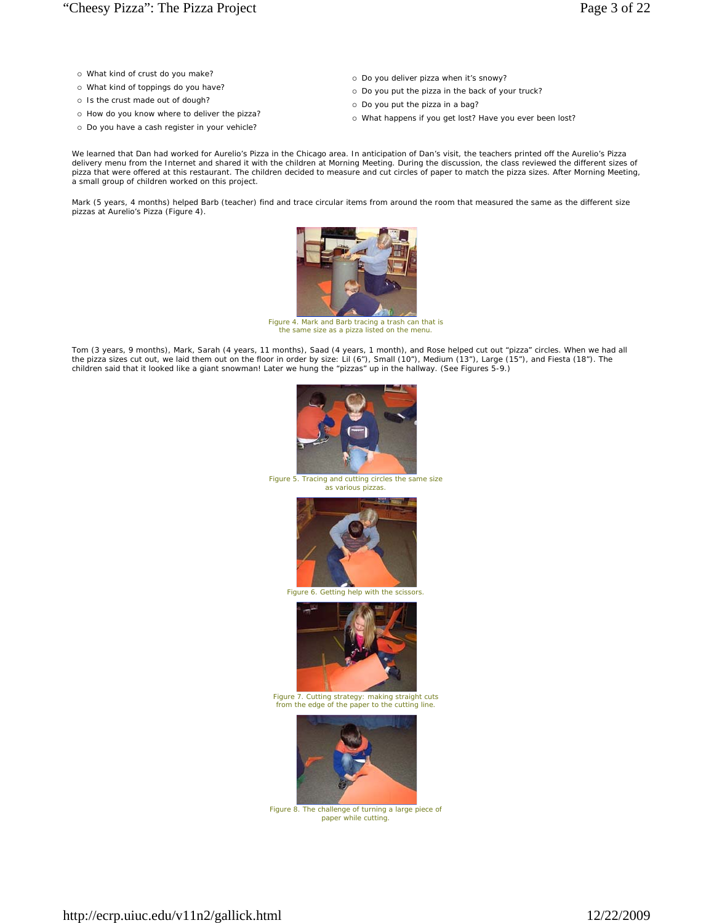- What kind of crust do you make?
- What kind of toppings do you have?
- o Is the crust made out of dough?
- o How do you know where to deliver the pizza?
- o Do you have a cash register in your vehicle?
- o Do you deliver pizza when it's snowy?
- o Do you put the pizza in the back of your truck?
- o Do you put the pizza in a bag?
- What happens if you get lost? Have you ever been lost?

We learned that Dan had worked for Aurelio's Pizza in the Chicago area. In anticipation of Dan's visit, the teachers printed off the Aurelio's Pizza delivery menu from the Internet and shared it with the children at Morning Meeting. During the discussion, the class reviewed the different sizes of pizza that were offered at this restaurant. The children decided to measure and cut circles of paper to match the pizza sizes. After Morning Meeting, a small group of children worked on this project.

Mark (5 years, 4 months) helped Barb (teacher) find and trace circular items from around the room that measured the same as the different size pizzas at Aurelio's Pizza (Figure 4).



*Figure 4. Mark and Barb tracing a trash can that is the same size as a pizza listed on the menu.*

Tom (3 years, 9 months), Mark, Sarah (4 years, 11 months), Saad (4 years, 1 month), and Rose helped cut out "pizza" circles. When we had all<br>the pizza sizes cut out, we laid them out on the floor in order by size: Lil (6″) children said that it looked like a giant snowman! Later we hung the "pizzas" up in the hallway. (See Figures 5-9.)



*Figure 5. Tracing and cutting circles the same size as various pizzas.*



*Figure 6. Getting help with the scissors.*



*Figure 7. Cutting strategy: making straight cuts from the edge of the paper to the cutting line.*



*Figure 8. The challenge of turning a large piece of paper while cutting.*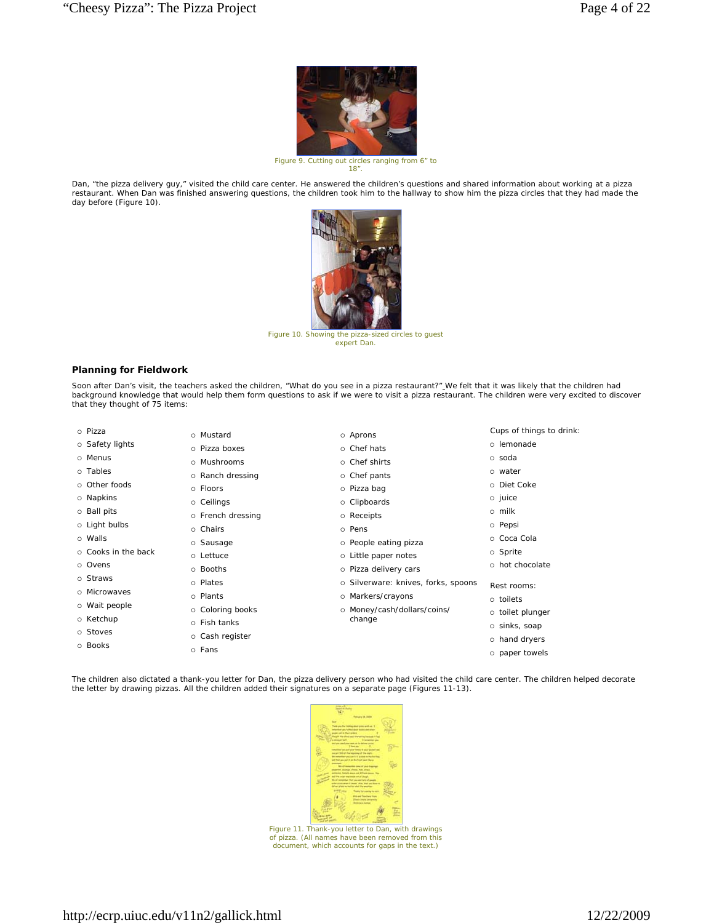

*Figure 9. Cutting out circles ranging from 6" to 18".*

Dan, "the pizza delivery guy," visited the child care center. He answered the children's questions and shared information about working at a pizza restaurant. When Dan was finished answering questions, the children took him to the hallway to show him the pizza circles that they had made the day before (Figure 10)



*Figure 10. Showing the pizza-sized circles to guest expert Dan.*

# **Planning for Fieldwork**

Soon after Dan's visit, the teachers asked the children, "What do you see in a pizza restaurant?" We felt that it was likely that the children had background knowledge that would help them form questions to ask if we were to visit a pizza restaurant. The children were very excited to discover that they thought of 75 items:

Aprons

- Pizza
- o Safety lights
- o Menus
- o Tables
- o Other foods
- o Napkins
- o Ball pits
- Light bulbs
- Walls
- Cooks in the back
- o Ovens
- o Straws
- Microwaves
- Wait people o Ketchup
- Stoves
- Books
- Fans

 Mustard Pizza boxes Mushrooms o Ranch dressing Floors Ceilings o French dressing o Chairs o Sausage Lettuce Booths Plates o Plants o Coloring books Fish tanks o Cash register

- o Chef hats o Chef shirts o Chef pants Pizza bag Clipboards Receipts o Pens
- o People eating pizza
- Little paper notes
- o Pizza delivery cars
- o Silverware: knives, forks, spoons
- o Markers/crayons o Money/cash/dollars/coins/
- change
- sinks, soap
	- hand dryers

Cups of things to drink:

 lemonade soda water Diet Coke o juice milk o Pepsi o Coca Cola o Sprite hot chocolate Rest rooms: toilets o toilet plunger

o paper towels

The children also dictated a thank-you letter for Dan, the pizza delivery person who had visited the child care center. The children helped decorate the letter by drawing pizzas. All the children added their signatures on a separate page (Figures 11-13).



*Figure 11. Thank-you letter to Dan, with drawings of pizza. (All names have been removed from this document, which accounts for gaps in the text.)*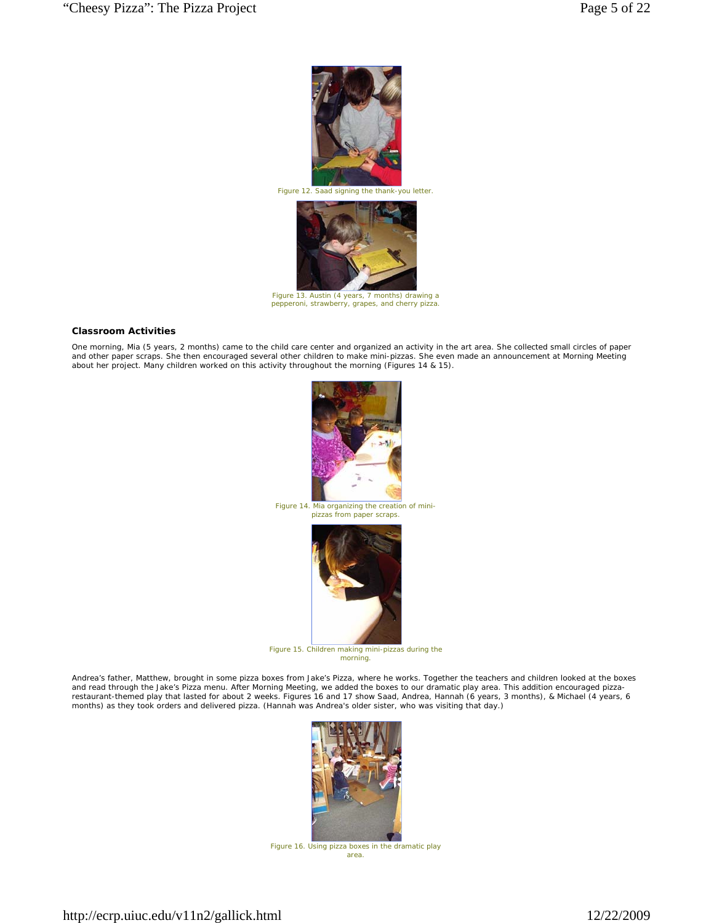

*Figure 12. Saad signing the thank-you letter.*



*Figure 13. Austin (4 years, 7 months) drawing a pepperoni, strawberry, grapes, and cherry pizza.*

# **Classroom Activities**

One morning, Mia (5 years, 2 months) came to the child care center and organized an activity in the art area. She collected small circles of paper and other paper scraps. She then encouraged several other children to make mini-pizzas. She even made an announcement at Morning Meeting about her project. Many children worked on this activity throughout the morning (Figures 14 & 15).



*Figure 14. Mia organizing the creation of minipizzas from paper scraps.*



*Figure 15. Children making mini-pizzas during the morning.*

Andrea's father, Matthew, brought in some pizza boxes from Jake's Pizza, where he works. Together the teachers and children looked at the boxes<br>and read through the Jake's Pizza menu. After Morning Meeting, we added the bo



*Figure 16. Using pizza boxes in the dramatic play area.*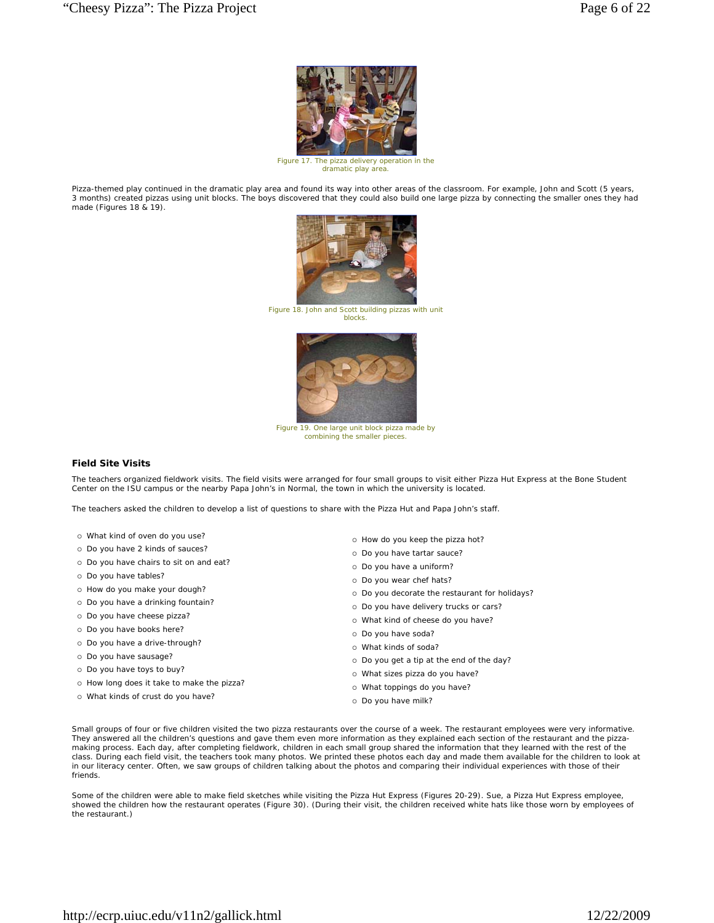

*Figure 17. The pizza delivery operation in the dramatic play area.* 

Pizza-themed play continued in the dramatic play area and found its way into other areas of the classroom. For example, John and Scott (5 years, 3 months) created pizzas using unit blocks. The boys discovered that they could also build one large pizza by connecting the smaller ones they had made (Figures 18 & 19).



*Figure 18. John and Scott building pizzas with unit blocks.*



*Figure 19. One large unit block pizza made by combining the smaller pieces.*

#### **Field Site Visits**

The teachers organized fieldwork visits. The field visits were arranged for four small groups to visit either Pizza Hut Express at the Bone Student Center on the ISU campus or the nearby Papa John's in Normal, the town in which the university is located.

The teachers asked the children to develop a list of questions to share with the Pizza Hut and Papa John's staff.

- What kind of oven do you use?
- Do you have 2 kinds of sauces?
- o Do you have chairs to sit on and eat?
- o Do you have tables?
- o How do you make your dough?
- o Do you have a drinking fountain?
- o Do you have cheese pizza?
- o Do you have books here?
- o Do you have a drive-through?
- o Do you have sausage?
- o Do you have toys to buy?
- o How long does it take to make the pizza?
- What kinds of crust do you have?
- o How do you keep the pizza hot?
- o Do you have tartar sauce?
- o Do you have a uniform?
- o Do you wear chef hats?
- o Do you decorate the restaurant for holidays?
- o Do you have delivery trucks or cars?
- What kind of cheese do you have?
- o Do you have soda?
- What kinds of soda?
- Do you get a tip at the end of the day?
- What sizes pizza do you have?
- What toppings do you have?
- o Do you have milk?

Small groups of four or five children visited the two pizza restaurants over the course of a week. The restaurant employees were very informative. They answered all the children's questions and gave them even more information as they explained each section of the restaurant and the pizzamaking process. Each day, after completing fieldwork, children in each small group shared the information that they learned with the rest of the class. During each field visit, the teachers took many photos. We printed these photos each day and made them available for the children to look at in our literacy center. Often, we saw groups of children talking about the photos and comparing their individual experiences with those of their friends.

Some of the children were able to make field sketches while visiting the Pizza Hut Express (Figures 20-29). Sue, a Pizza Hut Express employee, showed the children how the restaurant operates (Figure 30). (During their visit, the children received white hats like those worn by employees of the restaurant.)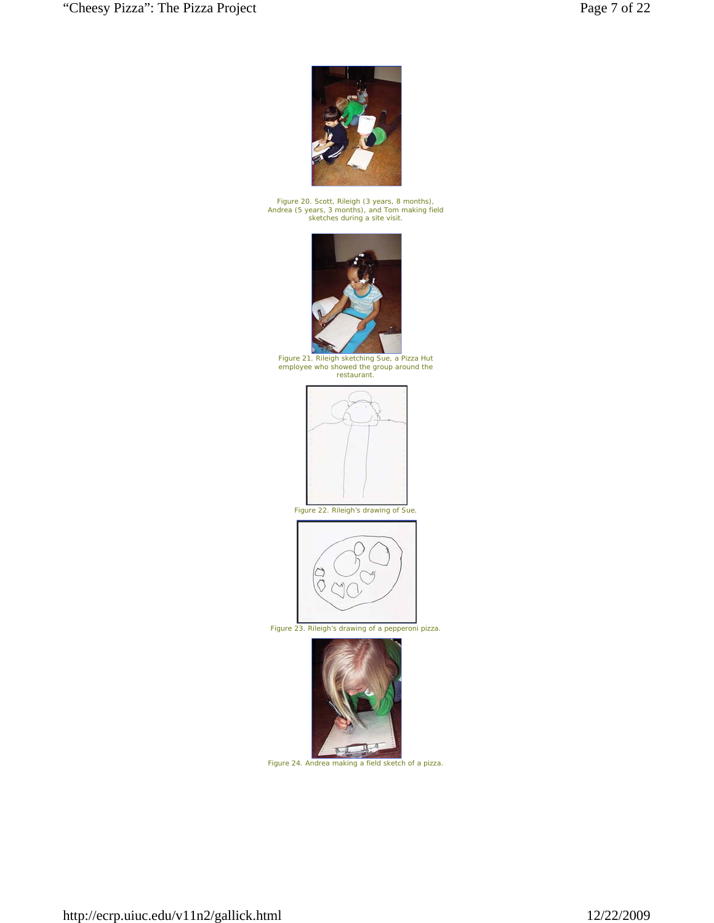

*Figure 20. Scott, Rileigh (3 years, 8 months), Andrea (5 years, 3 months), and Tom making field sketches during a site visit.*



*Figure 21. Rileigh sketching Sue, a Pizza Hut employee who showed the group around the restaurant.*





*Figure 23. Rileigh's drawing of a pepperoni pizza.*



*Figure 24. Andrea making a field sketch of a pizza.*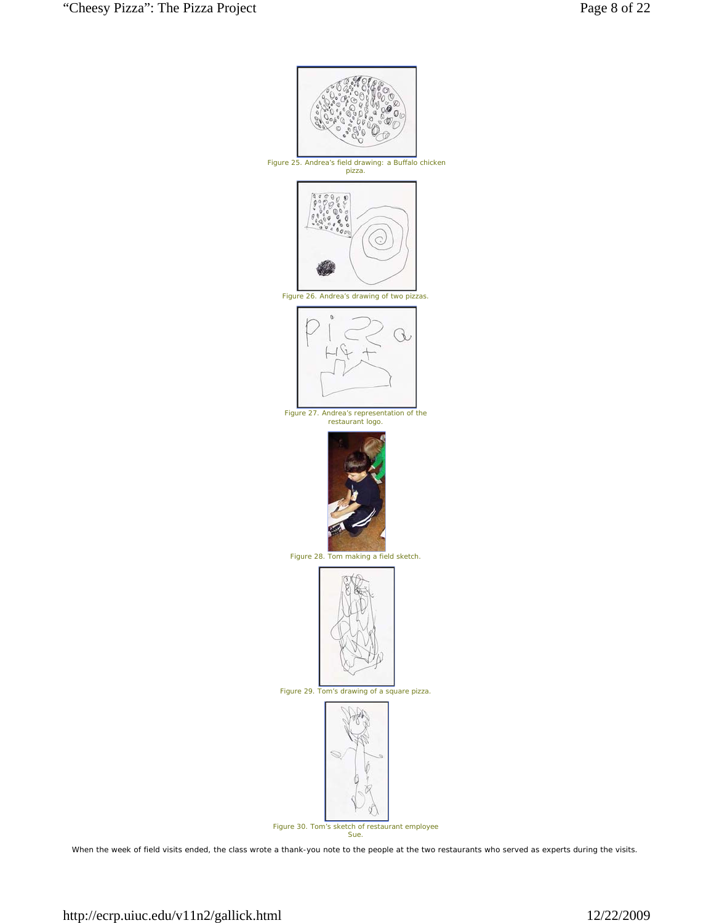

When the week of field visits ended, the class wrote a thank-you note to the people at the two restaurants who served as experts during the visits.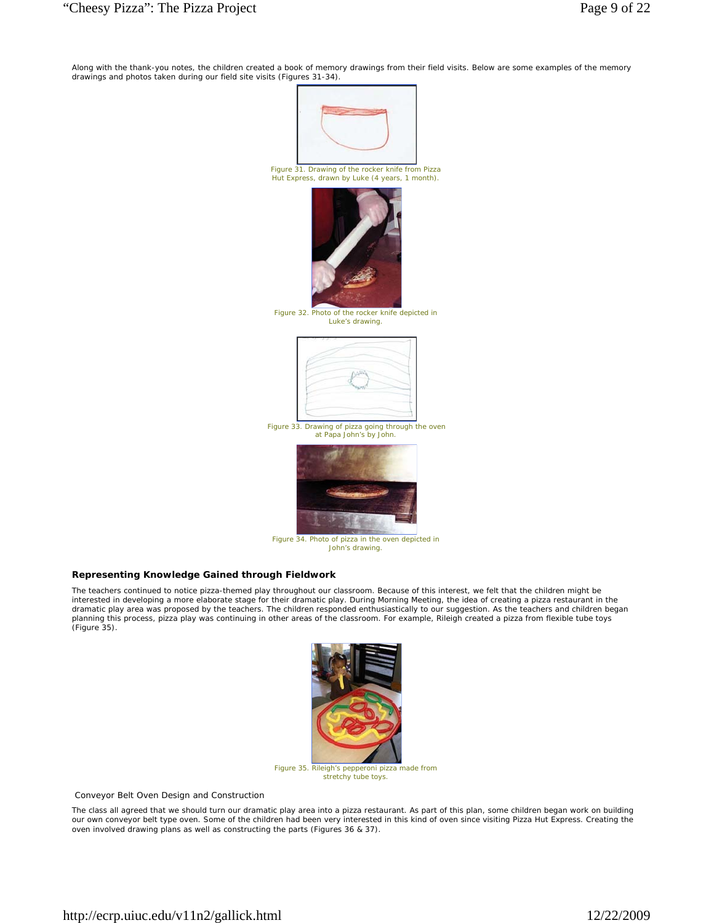Along with the thank-you notes, the children created a book of memory drawings from their field visits. Below are some examples of the memory drawings and photos taken during our field site visits (Figures 31-34).



*Figure 31. Drawing of the rocker knife from Pizza Hut Express, drawn by Luke (4 years, 1 month).*



*Figure 32. Photo of the rocker knife depicted in Luke's drawing.*



*Figure 33. Drawing of pizza going through the oven at Papa John's by John.*



*Figure 34. Photo of pizza in the oven depicted in John's drawing.*

# **Representing Knowledge Gained through Fieldwork**

The teachers continued to notice pizza-themed play throughout our classroom. Because of this interest, we felt that the children might be interested in developing a more elaborate stage for their dramatic play. During Morning Meeting, the idea of creating a pizza restaurant in the<br>dramatic play area was proposed by the teachers. The children responded enthus planning this process, pizza play was continuing in other areas of the classroom. For example, Rileigh created a pizza from flexible tube toys (Figure 35).



*Figure 35. Rileigh's pepperoni pizza made from stretchy tube toys.*

*Conveyor Belt Oven Design and Construction* 

The class all agreed that we should turn our dramatic play area into a pizza restaurant. As part of this plan, some children began work on building our own conveyor belt type oven. Some of the children had been very interested in this kind of oven since visiting Pizza Hut Express. Creating the oven involved drawing plans as well as constructing the parts (Figures 36 & 37).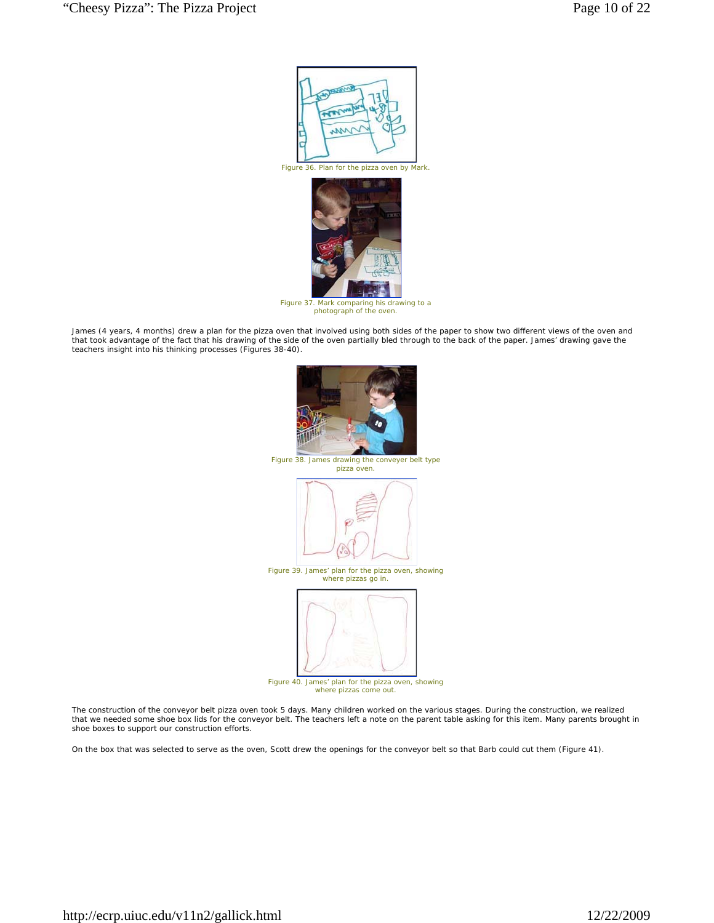

*Figure 36. Plan for the pizza oven by Mark.* 



*Figure 37. Mark comparing his drawing to a photograph of the oven.*

James (4 years, 4 months) drew a plan for the pizza oven that involved using both sides of the paper to show two different views of the oven and that took advantage of the fact that his drawing of the side of the oven partially bled through to the back of the paper. James' drawing gave the teachers insight into his thinking processes (Figures 38-40).



The construction of the conveyor belt pizza oven took 5 days. Many children worked on the various stages. During the construction, we realized that we needed some shoe box lids for the conveyor belt. The teachers left a note on the parent table asking for this item. Many parents brought in shoe boxes to support our construction efforts.

On the box that was selected to serve as the oven, Scott drew the openings for the conveyor belt so that Barb could cut them (Figure 41).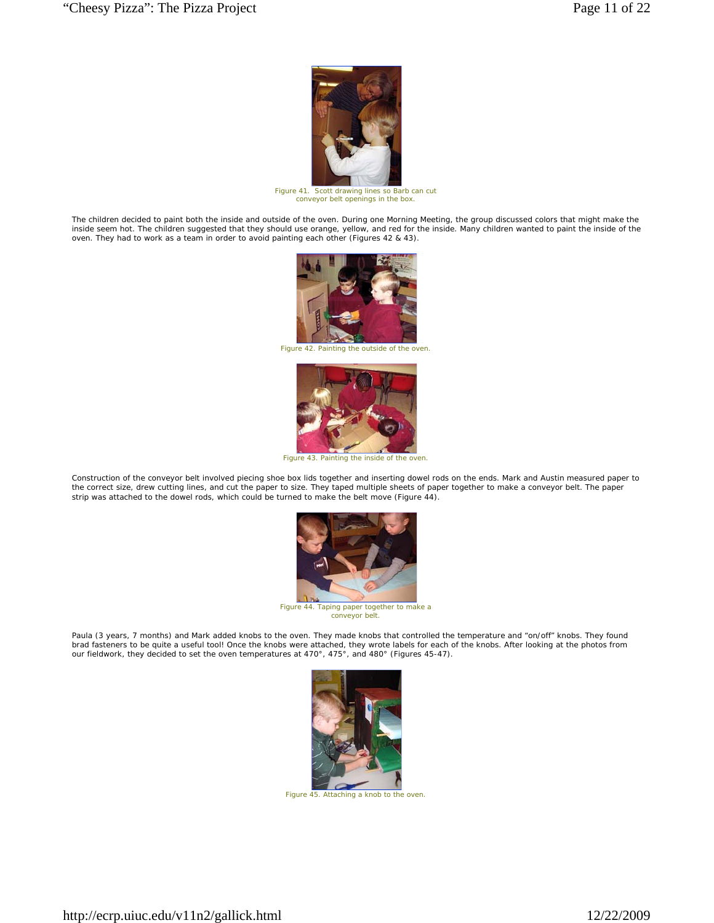

*Figure 41. Scott drawing lines so Barb can cut conveyor belt openings in the box.*

The children decided to paint both the inside and outside of the oven. During one Morning Meeting, the group discussed colors that might make the inside seem hot. The children suggested that they should use orange, yellow, and red for the inside. Many children wanted to paint the inside of the<br>oven. They had to work as a team in order to avoid painting each other (F



*Figure 42. Painting the outside of the oven.*



*Figure 43. Painting the inside of the oven.*

Construction of the conveyor belt involved piecing shoe box lids together and inserting dowel rods on the ends. Mark and Austin measured paper to<br>the correct size, drew cutting lines, and cut the paper to size. They taped strip was attached to the dowel rods, which could be turned to make the belt move (Figure 44).



*Figure 44. Taping paper together to make a conveyor belt.*

Paula (3 years, 7 months) and Mark added knobs to the oven. They made knobs that controlled the temperature and "on/off" knobs. They found brad fasteners to be quite a useful tool! Once the knobs were attached, they wrote labels for each of the knobs. After looking at the photos from our fieldwork, they decided to set the oven temperatures at 470°, 475°, and 480° (Figures 45-47).



*Figure 45. Attaching a knob to the oven.*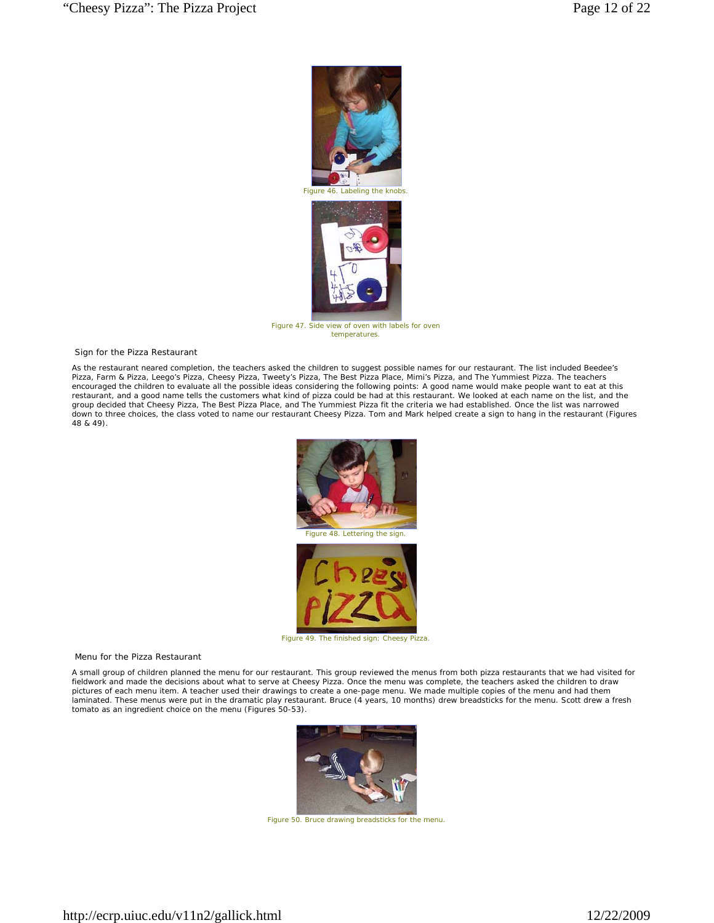

*Figure 47. Side view of oven with labels for oven temperatures.*

#### *Sign for the Pizza Restaurant*

As the restaurant neared completion, the teachers asked the children to suggest possible names for our restaurant. The list included Beedee's Pizza, Farm & Pizza, Leego's Pizza, Cheesy Pizza, Tweety's Pizza, The Best Pizza Place, Mimi's Pizza, and The Yummiest Pizza. The teachers encouraged the children to evaluate all the possible ideas considering the following points: A good name would make people want to eat at this restaurant, and a good name tells the customers what kind of pizza could be had at this restaurant. We looked at each name on the list, and the group decided that Cheesy Pizza, The Best Pizza Place, and The Yummiest Pizza fit the criteria we had established. Once the list was narrowed down to three choices, the class voted to name our restaurant Cheesy Pizza. Tom and Mark helped create a sign to hang in the restaurant (Figures 48 & 49).



#### *Menu for the Pizza Restaurant*

A small group of children planned the menu for our restaurant. This group reviewed the menus from both pizza restaurants that we had visited for fieldwork and made the decisions about what to serve at Cheesy Pizza. Once the menu was complete, the teachers asked the children to draw pictures of each menu item. A teacher used their drawings to create a one-page menu. We made multiple copies of the menu and had them laminated. These menus were put in the dramatic play restaurant. Bruce (4 years, 10 months) drew breadsticks for the menu. Scott drew a fresh tomato as an ingredient choice on the menu (Figures 50-53).



*Figure 50. Bruce drawing breadsticks for the menu.*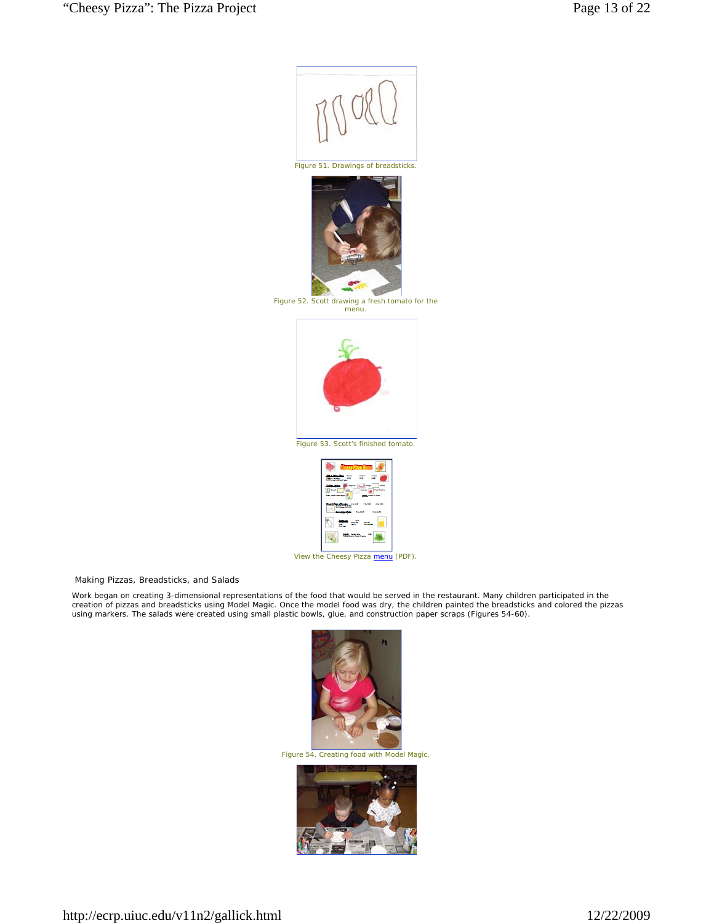

*Making Pizzas, Breadsticks, and Salads* 

Work began on creating 3-dimensional representations of the food that would be served in the restaurant. Many children participated in the<br>creation of pizzas and breadsticks using Model Magic. Once the model food was dry, using markers. The salads were created using small plastic bowls, glue, and construction paper scraps (Figures 54-60).



*Figure 54. Creating food with Model Magic.*

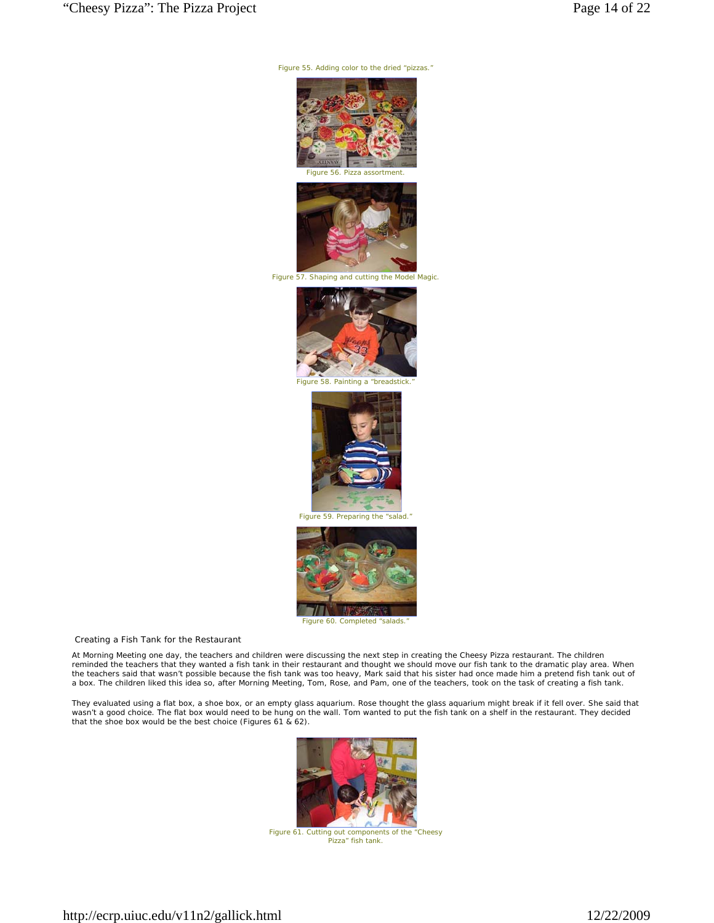*Figure 55. Adding color to the dried "pizzas."*





*Figure 57. Shaping and cutting the Model Magic.*



*Figure 58. Painting a "breadstick.* 



*Figure 59. Preparing the "salad."*



*Creating a Fish Tank for the Restaurant* 

At Morning Meeting one day, the teachers and children were discussing the next step in creating the Cheesy Pizza restaurant. The children reminded the teachers that they wanted a fish tank in their restaurant and thought we should move our fish tank to the dramatic play area. When the teachers said that wasn't possible because the fish tank was too heavy, Mark said that his sister had once made him a pretend fish tank out of a box. The children liked this idea so, after Morning Meeting, Tom, Rose, and Pam, one of the teachers, took on the task of creating a fish tank.

They evaluated using a flat box, a shoe box, or an empty glass aquarium. Rose thought the glass aquarium might break if it fell over. She said that wasn't a good choice. The flat box would need to be hung on the wall. Tom wanted to put the fish tank on a shelf in the restaurant. They decided that the shoe box would be the best choice (Figures 61 & 62).



*Figure 61. Cutting out components of the "Cheesy Pizza" fish tank.*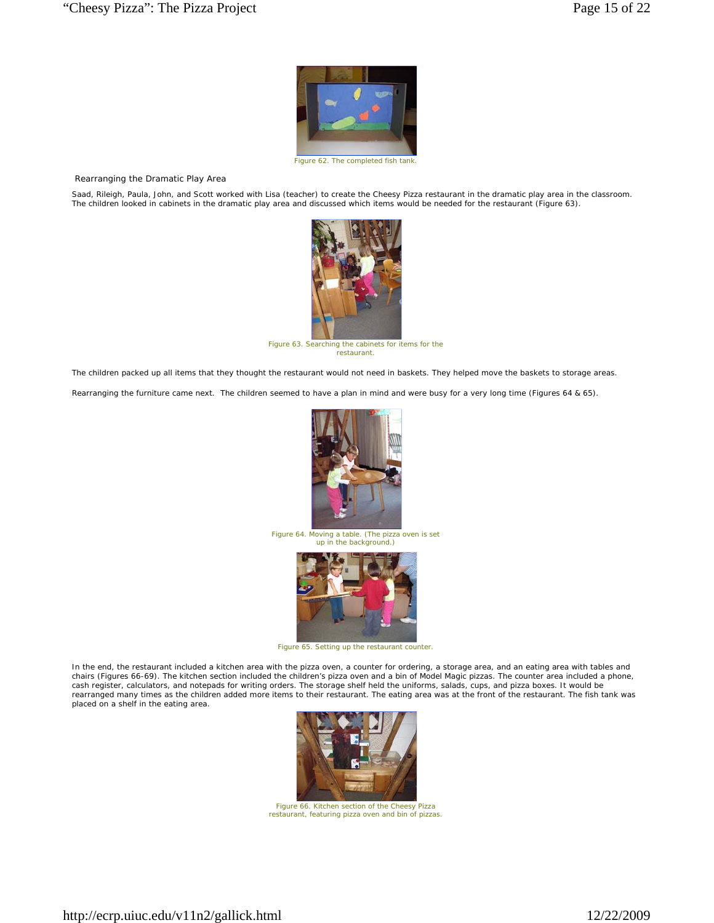

*Figure 62. The completed fish tank.* 

*Rearranging the Dramatic Play Area* 

Saad, Rileigh, Paula, John, and Scott worked with Lisa (teacher) to create the Cheesy Pizza restaurant in the dramatic play area in the classroom.<br>The children looked in cabinets in the dramatic play area and discussed whi



*Figure 63. Searching the cabinets for items for the restaurant.*

The children packed up all items that they thought the restaurant would not need in baskets. They helped move the baskets to storage areas.

Rearranging the furniture came next. The children seemed to have a plan in mind and were busy for a very long time (Figures 64 & 65).



*Figure 64. Moving a table. (The pizza oven is set up in the background.)*



*Figure 65. Setting up the restaurant counter.*

In the end, the restaurant included a kitchen area with the pizza oven, a counter for ordering, a storage area, and an eating area with tables and chairs (Figures 66-69). The kitchen section included the children's pizza oven and a bin of Model Magic pizzas. The counter area included a phone, cash register, calculators, and notepads for writing orders. The storage shelf held the uniforms, salads, cups, and pizza boxes. It would be rearranged many times as the children added more items to their restaurant. The eating area was at the front of the restaurant. The fish tank was placed on a shelf in the eating area.



*Figure 66. Kitchen section of the Cheesy Pizza restaurant, featuring pizza oven and bin of pizzas.*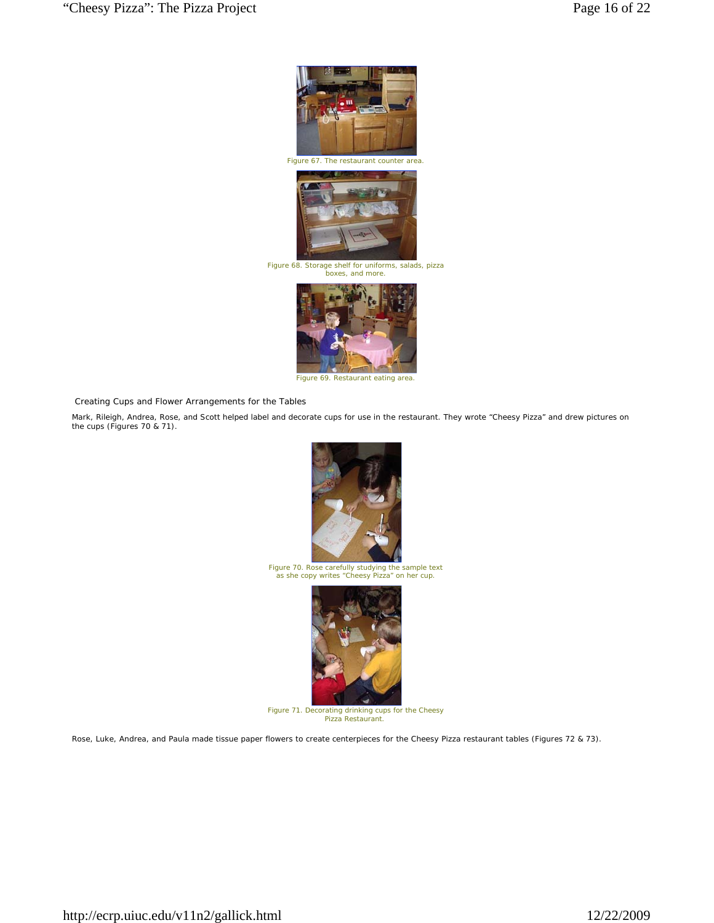

*Figure 69. Restaurant eating area.*

*Creating Cups and Flower Arrangements for the Tables* 

Mark, Rileigh, Andrea, Rose, and Scott helped label and decorate cups for use in the restaurant. They wrote "Cheesy Pizza" and drew pictures on the cups (Figures 70 & 71).



*Figure 70. Rose carefully studying the sample text as she copy writes "Cheesy Pizza" on her cup.*



*Figure 71. Decorating drinking cups for the Cheesy Pizza Restaurant.*

Rose, Luke, Andrea, and Paula made tissue paper flowers to create centerpieces for the Cheesy Pizza restaurant tables (Figures 72 & 73).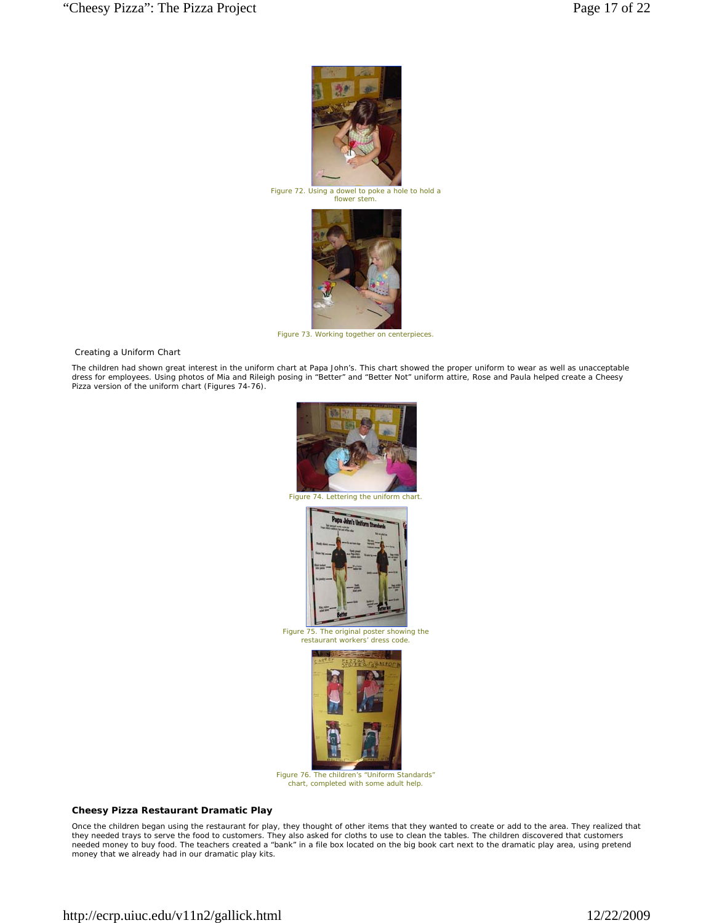

*Figure 72. Using a dowel to poke a hole to hold a flower stem.*



*Figure 73. Working together on centerpieces.*

*Creating a Uniform Chart* 

The children had shown great interest in the uniform chart at Papa John's. This chart showed the proper uniform to wear as well as unacceptable dress for employees. Using photos of Mia and Rileigh posing in "Better" and "Better Not" uniform attire, Rose and Paula helped create a Cheesy Pizza version of the uniform chart (Figures 74-76).



*Figure 75. The original poster showing the restaurant workers' dress code.*



*Figure 76. The children's "Uniform Standards" chart, completed with some adult help.*

# **Cheesy Pizza Restaurant Dramatic Play**

Once the children began using the restaurant for play, they thought of other items that they wanted to create or add to the area. They realized that<br>they needed trays to serve the food to customers. They also asked for clo needed money to buy food. The teachers created a "bank" in a file box located on the big book cart next to the dramatic play area, using pretend money that we already had in our dramatic play kits.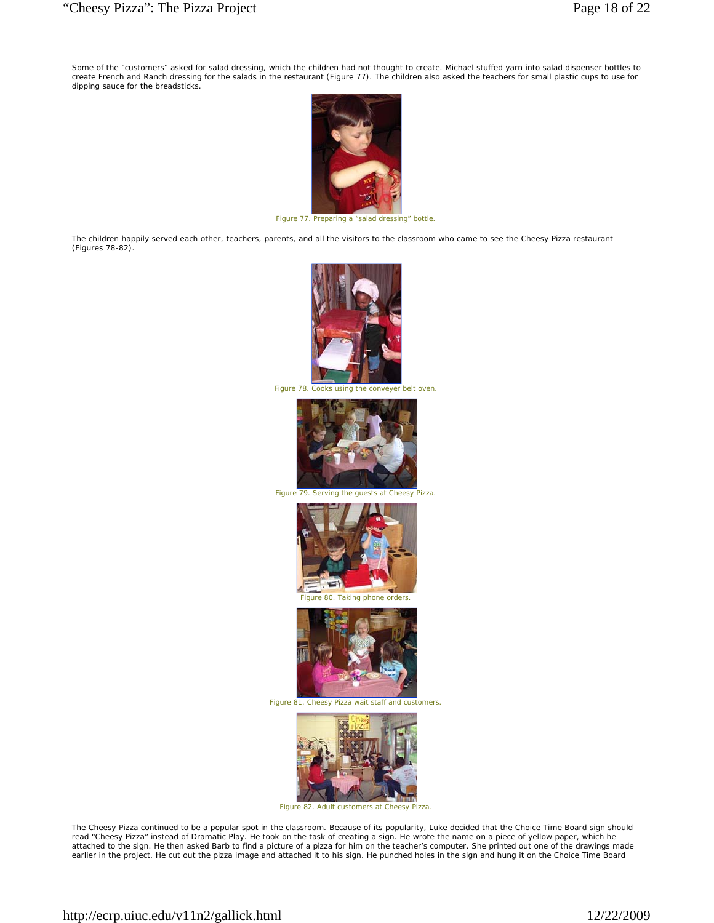Some of the "customers" asked for salad dressing, which the children had not thought to create. Michael stuffed yarn into salad dispenser bottles to<br>create French and Ranch dressing for the salads in the restaurant (Figure dipping sauce for the breadsticks.



*Figure 77. Preparing a "salad dressing" bottle.*

The children happily served each other, teachers, parents, and all the visitors to the classroom who came to see the Cheesy Pizza restaurant (Figures 78-82).



*Figure 78. Cooks using the conveyer belt oven.*



*Figure 79. Serving the guests at Cheesy Pizza.*





*Figure 81. Cheesy Pizza wait staff and customers.*



*Figure 82. Adult customers at Cheesy Pizza.*

The Cheesy Pizza continued to be a popular spot in the classroom. Because of its popularity, Luke decided that the Choice Time Board sign should<br>read "Cheesy Pizza" instead of Dramatic Play. He took on the task of creating attached to the sign. He then asked Barb to find a picture of a pizza for him on the teacher's computer. She printed out one of the drawings made earlier in the project. He cut out the pizza image and attached it to his sign. He punched holes in the sign and hung it on the Choice Time Board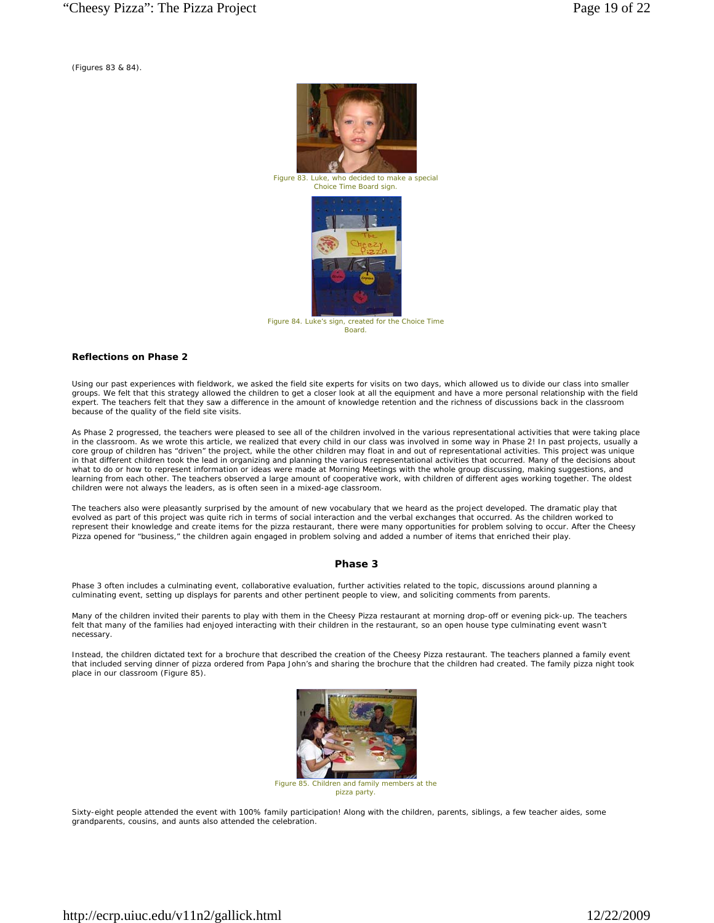(Figures 83 & 84).



*Figure 83. Luke, who decided to make a special Choice Time Board sign.* 



*Figure 84. Luke's sign, created for the Choice Time Board.*

#### **Reflections on Phase 2**

Using our past experiences with fieldwork, we asked the field site experts for visits on two days, which allowed us to divide our class into smaller groups. We felt that this strategy allowed the children to get a closer look at all the equipment and have a more personal relationship with the field expert. The teachers felt that they saw a difference in the amount of knowledge retention and the richness of discussions back in the classroom because of the quality of the field site visits.

As Phase 2 progressed, the teachers were pleased to see all of the children involved in the various representational activities that were taking place in the classroom. As we wrote this article, we realized that every child in our class was involved in some way in Phase 2! In past projects, usually a core group of children has "driven" the project, while the other children may float in and out of representational activities. This project was unique in that different children took the lead in organizing and planning the various representational activities that occurred. Many of the decisions about what to do or how to represent information or ideas were made at Morning Meetings with the whole group discussing, making suggestions, and learning from each other. The teachers observed a large amount of cooperative work, with children of different ages working together. The oldest children were not always the leaders, as is often seen in a mixed-age classroom.

The teachers also were pleasantly surprised by the amount of new vocabulary that we heard as the project developed. The dramatic play that evolved as part of this project was quite rich in terms of social interaction and the verbal exchanges that occurred. As the children worked to represent their knowledge and create items for the pizza restaurant, there were many opportunities for problem solving to occur. After the Cheesy Pizza opened for "business," the children again engaged in problem solving and added a number of items that enriched their play.

### **Phase 3**

Phase 3 often includes a culminating event, collaborative evaluation, further activities related to the topic, discussions around planning a culminating event, setting up displays for parents and other pertinent people to view, and soliciting comments from parents.

Many of the children invited their parents to play with them in the Cheesy Pizza restaurant at morning drop-off or evening pick-up. The teachers felt that many of the families had enjoyed interacting with their children in the restaurant, so an open house type culminating event wasn't necessary.

Instead, the children dictated text for a brochure that described the creation of the Cheesy Pizza restaurant. The teachers planned a family event that included serving dinner of pizza ordered from Papa John's and sharing the brochure that the children had created. The family pizza night took place in our classroom (Figure 85).



*pizza party.*

Sixty-eight people attended the event with 100% family participation! Along with the children, parents, siblings, a few teacher aides, some grandparents, cousins, and aunts also attended the celebration.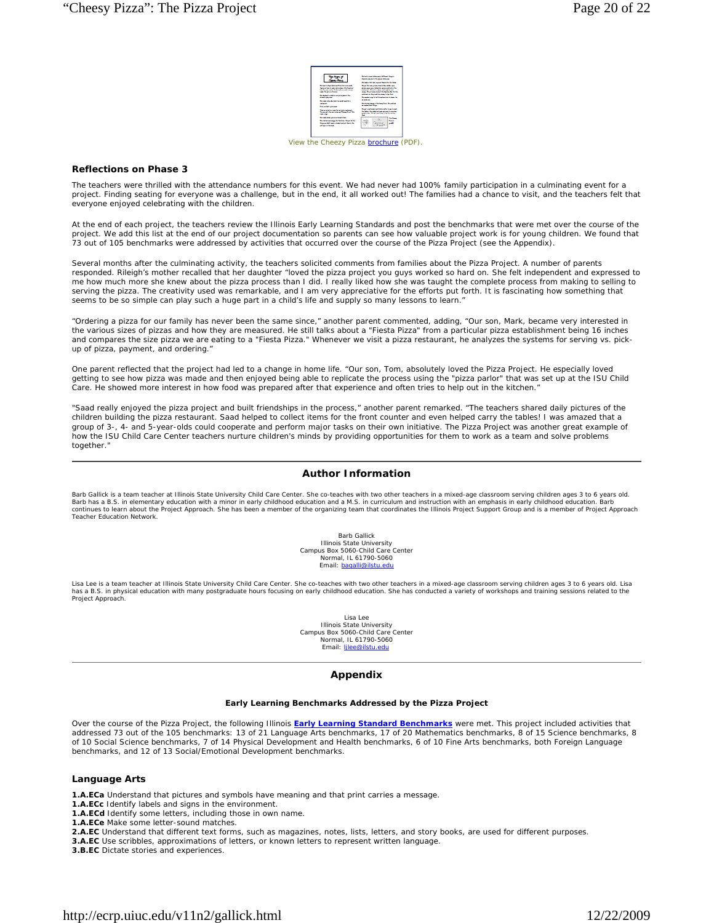|                                                                                                                                                                                                                                                                                                                        | To be in one interest prid front depts.<br><b>Banda da acto fa anno titto co</b><br>To pain a flat but second financial for billion.<br>To all Thomas prices himselvings what your<br>Artist was not believed a source their a fa-<br>where there are no service.<br>lane. Read and lane is to facial facility<br>automore the contributions in the fact.<br>To product you in hit for an increase in them. In-<br>----<br><b>Technical claims in the Theodition Statestical</b><br>a rate/accident<br>To act a particular and fractional by to an incent.<br>by him the state when the private state<br>and cold flow loan has it as for acres |  |
|------------------------------------------------------------------------------------------------------------------------------------------------------------------------------------------------------------------------------------------------------------------------------------------------------------------------|-------------------------------------------------------------------------------------------------------------------------------------------------------------------------------------------------------------------------------------------------------------------------------------------------------------------------------------------------------------------------------------------------------------------------------------------------------------------------------------------------------------------------------------------------------------------------------------------------------------------------------------------------|--|
| To part in face delutions firm the company<br>grant to is advertised to be the<br><b>Professional Professional Professional Professional Professional Professional Professional Professional Professional Professional Professional Professional Professional Professional Professional Professional Professional </b> |                                                                                                                                                                                                                                                                                                                                                                                                                                                                                                                                                                                                                                                 |  |
| and former forms.<br>To design home and construction to the<br><b>Experts description</b>                                                                                                                                                                                                                              |                                                                                                                                                                                                                                                                                                                                                                                                                                                                                                                                                                                                                                                 |  |
| <b>The position of the state and seat form</b><br><b>Service</b><br><b><i><u>State and Address and</u></i></b>                                                                                                                                                                                                         |                                                                                                                                                                                                                                                                                                                                                                                                                                                                                                                                                                                                                                                 |  |
| The probability and for access school.<br>To send I hand you an "heart on" the<br><b><i><u>PAINTENT</u></i></b>                                                                                                                                                                                                        |                                                                                                                                                                                                                                                                                                                                                                                                                                                                                                                                                                                                                                                 |  |
| <b>The main strategy are presented at the co</b><br><b>Design to provide the basics. The Call Inc.</b><br><b>Started MC and in challen and and Starte San</b><br>all police beings.                                                                                                                                    | --<br>Ver.<br><b>Septe</b><br>۔۔۔                                                                                                                                                                                                                                                                                                                                                                                                                                                                                                                                                                                                               |  |

*View the Cheezy Pizza brochure (PDF).*

#### **Reflections on Phase 3**

The teachers were thrilled with the attendance numbers for this event. We had never had 100% family participation in a culminating event for a project. Finding seating for everyone was a challenge, but in the end, it all worked out! The families had a chance to visit, and the teachers felt that everyone enjoyed celebrating with the children.

At the end of each project, the teachers review the Illinois Early Learning Standards and post the benchmarks that were met over the course of the project. We add this list at the end of our project documentation so parents can see how valuable project work is for young children. We found that 73 out of 105 benchmarks were addressed by activities that occurred over the course of the Pizza Project (see the Appendix).

Several months after the culminating activity, the teachers solicited comments from families about the Pizza Project. A number of parents responded. Rileigh's mother recalled that her daughter "loved the pizza project you guys worked so hard on. She felt independent and expressed to me how much more she knew about the pizza process than I did. I really liked how she was taught the complete process from making to selling to serving the pizza. The creativity used was remarkable, and I am very appreciative for the efforts put forth. It is fascinating how something that seems to be so simple can play such a huge part in a child's life and supply so many lessons to learn."

"Ordering a pizza for our family has never been the same since," another parent commented, adding, "Our son, Mark, became very interested in the various sizes of pizzas and how they are measured. He still talks about a "Fiesta Pizza" from a particular pizza establishment being 16 inches and compares the size pizza we are eating to a "Fiesta Pizza." Whenever we visit a pizza restaurant, he analyzes the systems for serving vs. pickup of pizza, payment, and ordering."

One parent reflected that the project had led to a change in home life. "Our son, Tom, absolutely loved the Pizza Project. He especially loved getting to see how pizza was made and then enjoyed being able to replicate the process using the "pizza parlor" that was set up at the ISU Child Care. He showed more interest in how food was prepared after that experience and often tries to help out in the kitchen."

"Saad really enjoyed the pizza project and built friendships in the process," another parent remarked. "The teachers shared daily pictures of the children building the pizza restaurant. Saad helped to collect items for the front counter and even helped carry the tables! I was amazed that a group of 3-, 4- and 5-year-olds could cooperate and perform major tasks on their own initiative. The Pizza Project was another great example of how the ISU Child Care Center teachers nurture children's minds by providing opportunities for them to work as a team and solve problems together."

## **Author Information**

Barb Gallick is a team teacher at Illinois State University Child Care Center. She co-teaches with two other teachers in a mixed-age classroom serving children ages 3 to 6 years old.<br>Barb has a B.S. in elementary education continues to learn about the Project Approach. She has been a member of the organizing team that coordinates the Illinois Project Support Group and is a member of Project Approach Teacher Education Network.

> Barb Gallick Illinois State University Campus Box 5060-Child Care Center Normal, IL 61790-5060 Email: bagalli@ilstu.edu

Lisa Lee is a team teacher at Illinois State University Child Care Center. She co-teaches with two other teachers in a mixed-age classroom serving children ages 3 to 6 years old. Lisa<br>has a B.S. in physical education with Project Approach.

> Lisa Lee Illinois State University Campus Box 5060-Child Care Center Normal, IL 61790-5060 Email: ljlee@ilstu.edu

#### **Appendix**

#### **Early Learning Benchmarks Addressed by the Pizza Project**

Over the course of the Pizza Project, the following Illinois **Early Learning Standard Benchmarks** were met. This project included activities that addressed 73 out of the 105 benchmarks: 13 of 21 Language Arts benchmarks, 17 of 20 Mathematics benchmarks, 8 of 15 Science benchmarks, 8 of 10 Social Science benchmarks, 7 of 14 Physical Development and Health benchmarks, 6 of 10 Fine Arts benchmarks, both Foreign Language benchmarks, and 12 of 13 Social/Emotional Development benchmarks.

#### **Language Arts**

- **1.A.ECa** Understand that pictures and symbols have meaning and that print carries a message.
- **1.A.ECc** Identify labels and signs in the environment.
- **1.A.ECd** Identify some letters, including those in own name.
- **1.A.ECe** Make some letter-sound matches.
- **2.A.EC** Understand that different text forms, such as magazines, notes, lists, letters, and story books, are used for different purposes.
- **3.A.EC** Use scribbles, approximations of letters, or known letters to represent written language.

**3.B.EC** Dictate stories and experiences.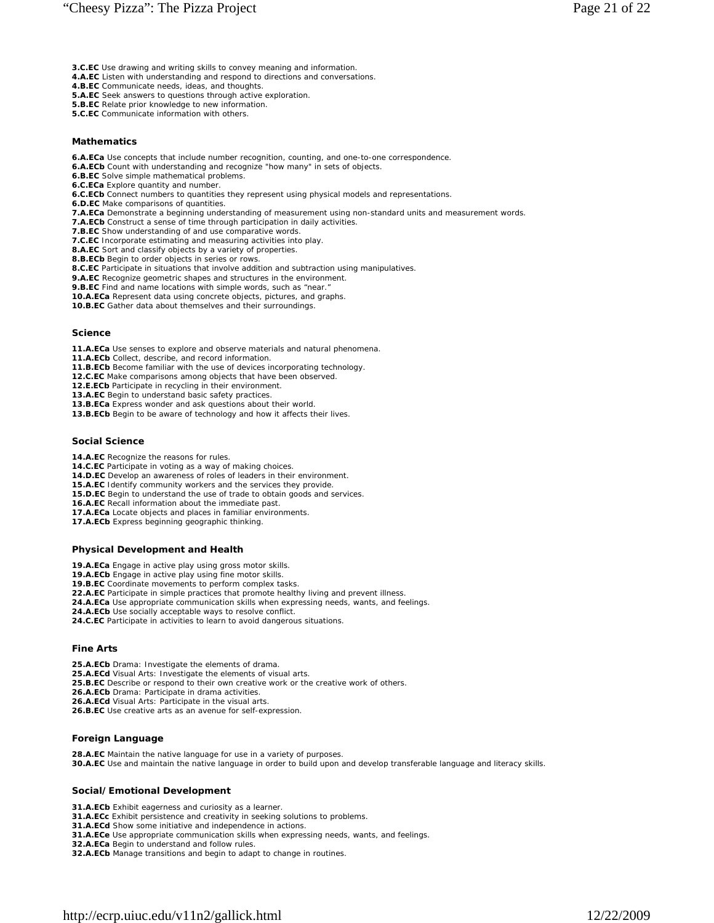- **3.C.EC** Use drawing and writing skills to convey meaning and information.
- **4.A.EC** Listen with understanding and respond to directions and conversations.
- **4.B.EC** Communicate needs, ideas, and thoughts.
- **5.A.EC** Seek answers to questions through active exploration.
- **5.B.EC** Relate prior knowledge to new information.
- **5.C.EC** Communicate information with others.

# **Mathematics**

- **6.A.ECa** Use concepts that include number recognition, counting, and one-to-one correspondence.
- **6.A.ECb** Count with understanding and recognize "how many" in sets of objects.
- **6.B.EC** Solve simple mathematical problems.
- **6.C.ECa** Explore quantity and number.
- **6.C.ECb** Connect numbers to quantities they represent using physical models and representations.
- **6.D.EC** Make comparisons of quantities.
- **7.A.ECa** Demonstrate a beginning understanding of measurement using non-standard units and measurement words.
- **7.A.ECb** Construct a sense of time through participation in daily activities.
- **7.B.EC** Show understanding of and use comparative words.
- **7.C.EC** Incorporate estimating and measuring activities into play.
- **8.A.EC** Sort and classify objects by a variety of properties. **8.B.ECb** Begin to order objects in series or rows.
- **8.C.EC** Participate in situations that involve addition and subtraction using manipulatives.
- **9.A.EC** Recognize geometric shapes and structures in the environment.
- **9.B.EC** Find and name locations with simple words, such as "near."
- **10.A.ECa** Represent data using concrete objects, pictures, and graphs.
- **10.B.EC** Gather data about themselves and their surroundings.

#### **Science**

- **11.A.ECa** Use senses to explore and observe materials and natural phenomena.
- **11.A.ECb** Collect, describe, and record information.
- **11.B.ECb** Become familiar with the use of devices incorporating technology.
- **12.C.EC** Make comparisons among objects that have been observed.
- **12.E.ECb** Participate in recycling in their environment.
- **13.A.EC** Begin to understand basic safety practices.
- **13.B.ECa** Express wonder and ask questions about their world.
- **13.B.ECb** Begin to be aware of technology and how it affects their lives.

# **Social Science**

- 14.A.EC Recognize the reasons for rules.
- **14.C.EC** Participate in voting as a way of making choices.
- **14.D.EC** Develop an awareness of roles of leaders in their environment.
- **15.A.EC** Identify community workers and the services they provide.
- **15.D.EC** Begin to understand the use of trade to obtain goods and services.
- **16.A.EC** Recall information about the immediate past.
- **17.A.ECa** Locate objects and places in familiar environments.
- **17.A.ECb** Express beginning geographic thinking.

## **Physical Development and Health**

- **19.A.ECa** Engage in active play using gross motor skills.
- **19.A.ECb** Engage in active play using fine motor skills.
- **19.B.EC** Coordinate movements to perform complex tasks.
- **22.A.EC** Participate in simple practices that promote healthy living and prevent illness.
- **24.A.ECa** Use appropriate communication skills when expressing needs, wants, and feelings. **24.A.ECb** Use socially acceptable ways to resolve conflict.
- **24.C.EC** Participate in activities to learn to avoid dangerous situations.

## **Fine Arts**

- **25.A.ECb** Drama: Investigate the elements of drama.
- **25.A.ECd** Visual Arts: Investigate the elements of visual arts.
- **25.B.EC** Describe or respond to their own creative work or the creative work of others.
- **26.A.ECb** Drama: Participate in drama activities.
- **26.A.ECd** Visual Arts: Participate in the visual arts.
- **26.B.EC** Use creative arts as an avenue for self-expression.

# **Foreign Language**

**28.A.EC** Maintain the native language for use in a variety of purposes. **30.A.EC** Use and maintain the native language in order to build upon and develop transferable language and literacy skills.

## **Social/Emotional Development**

- **31.A.ECb** Exhibit eagerness and curiosity as a learner.
- **31.A.ECc** Exhibit persistence and creativity in seeking solutions to problems.
- **31.A.ECd** Show some initiative and independence in actions.
- **31.A.ECe** Use appropriate communication skills when expressing needs, wants, and feelings.
- **32.A.ECa** Begin to understand and follow rules.
- **32.A.ECb** Manage transitions and begin to adapt to change in routines.